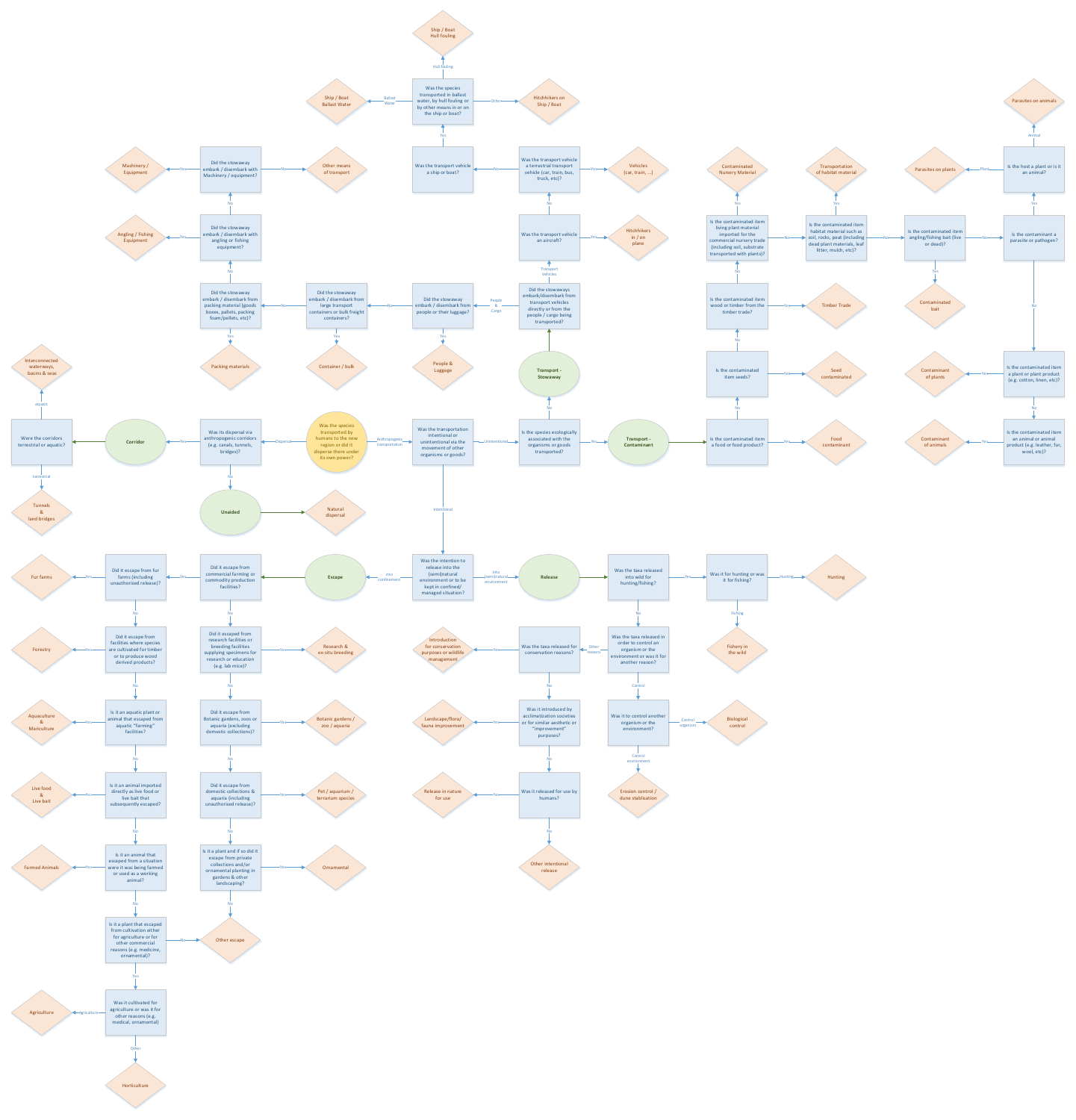

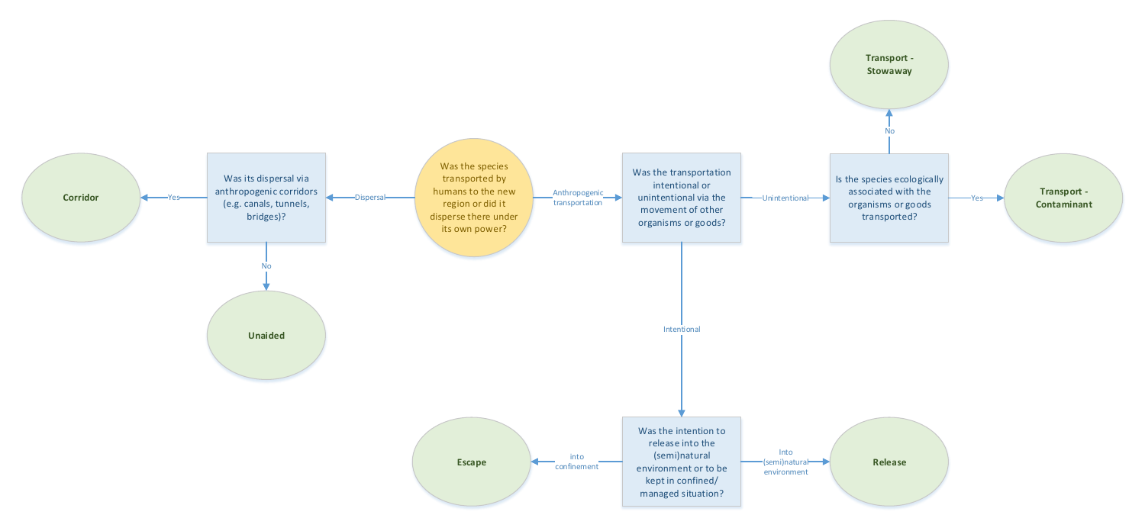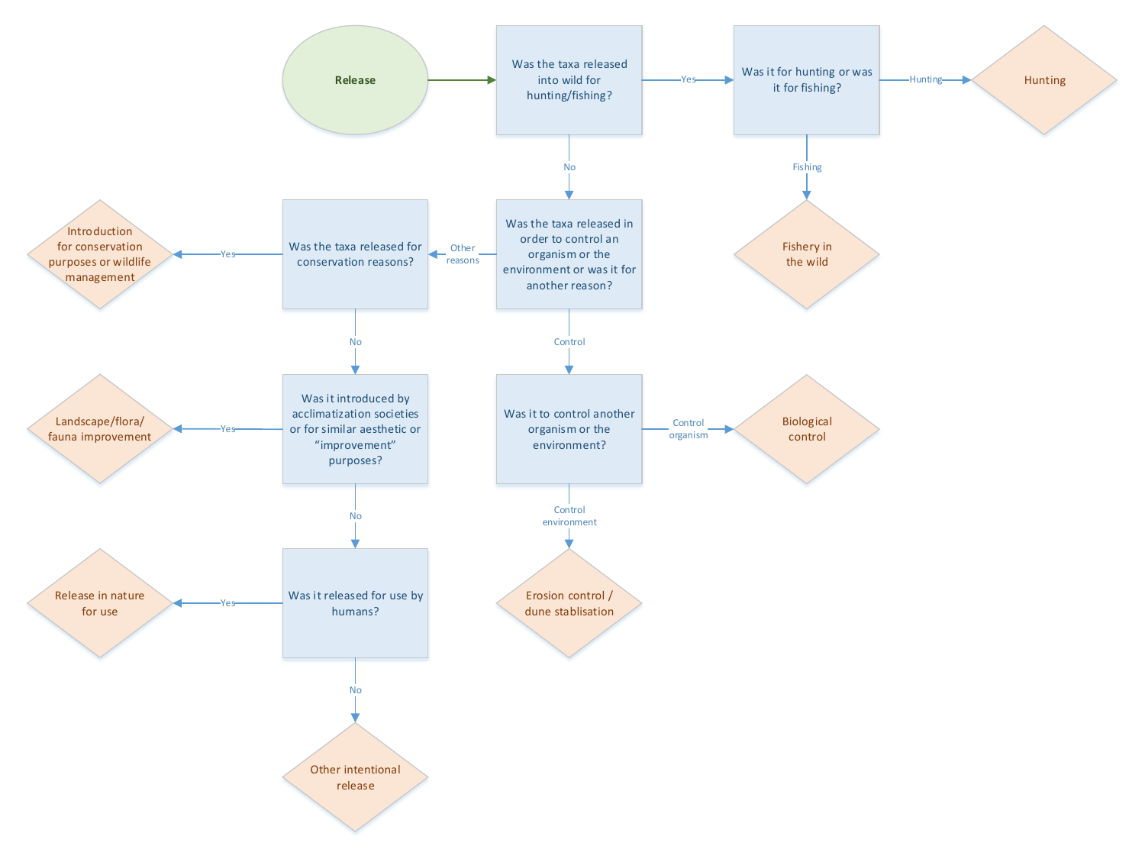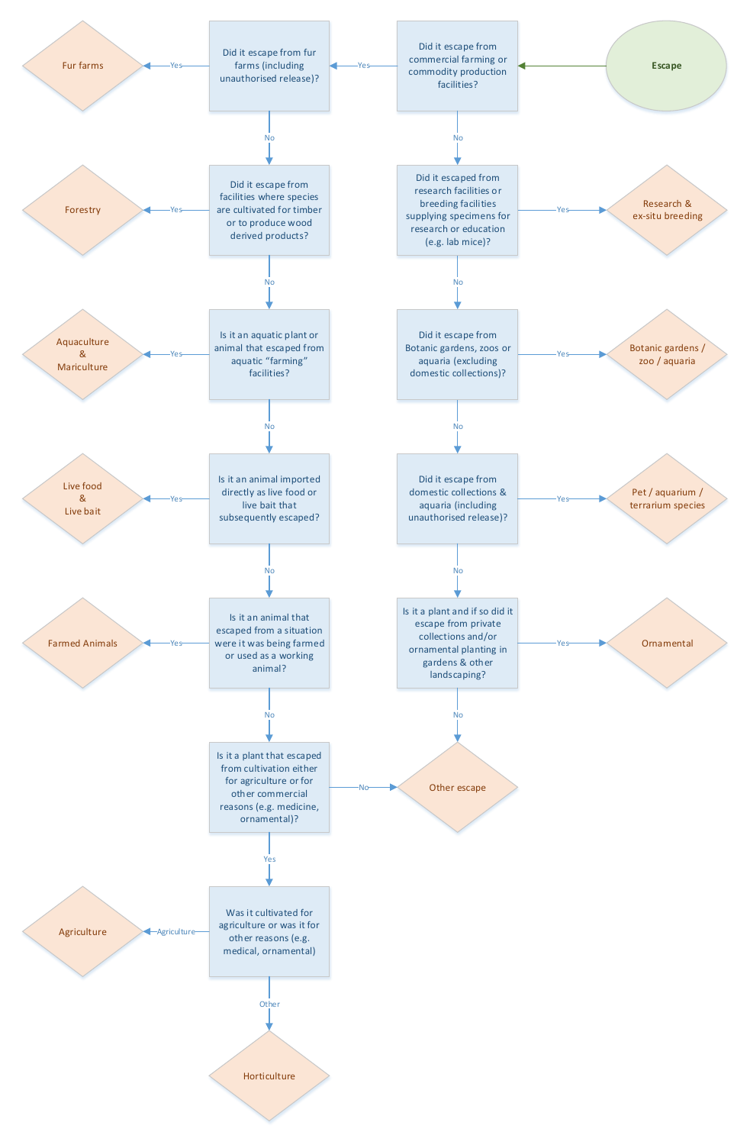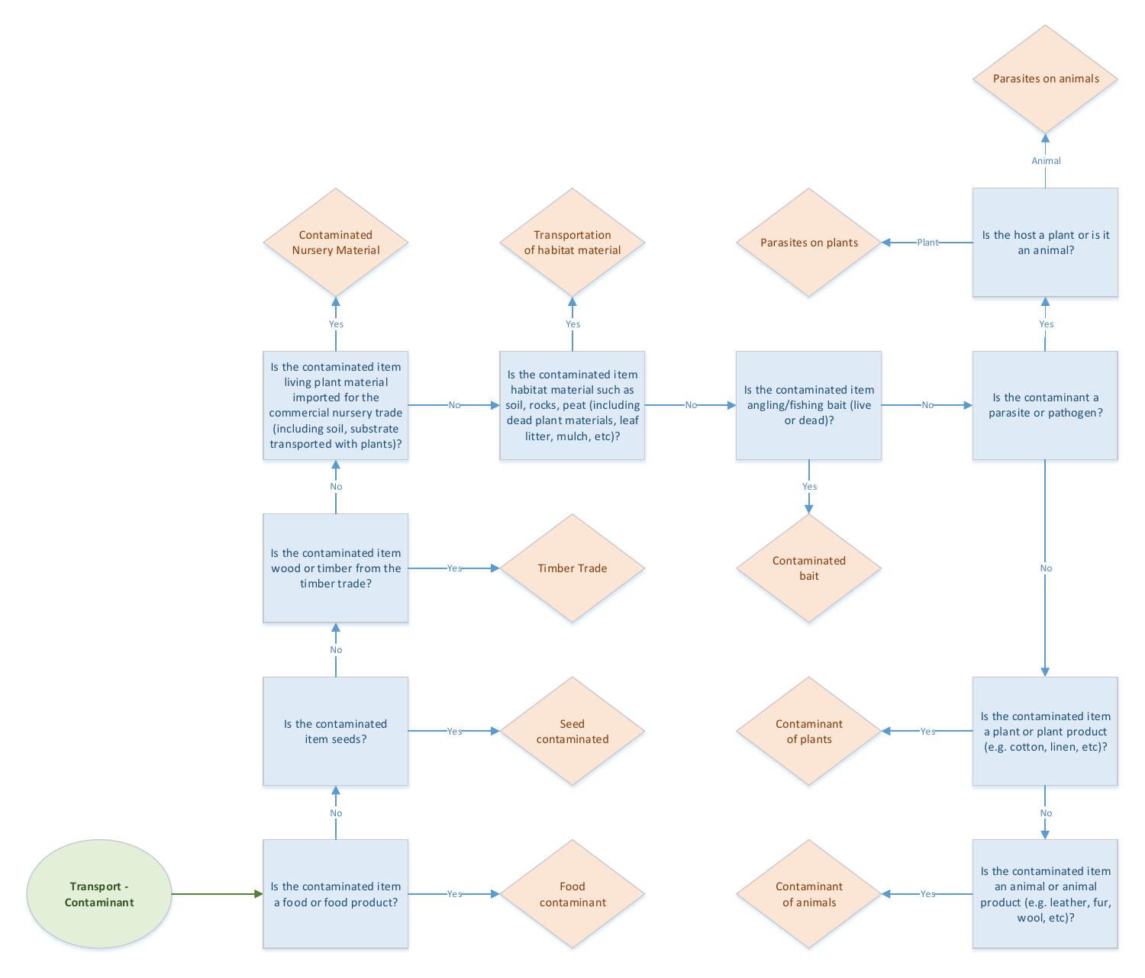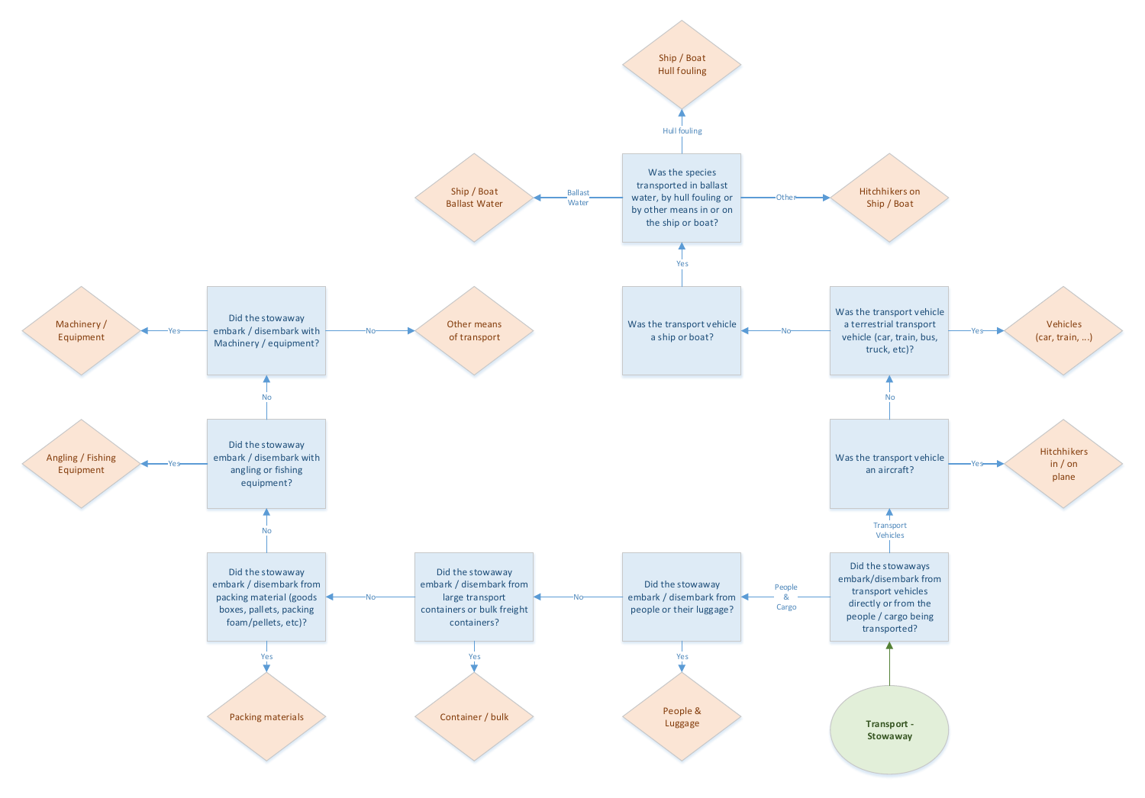